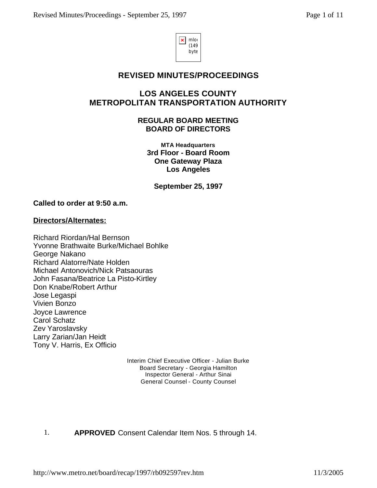

# **REVISED MINUTES/PROCEEDINGS**

# **LOS ANGELES COUNTY METROPOLITAN TRANSPORTATION AUTHORITY**

**REGULAR BOARD MEETING BOARD OF DIRECTORS**

**MTA Headquarters 3rd Floor - Board Room One Gateway Plaza Los Angeles**

**September 25, 1997** 

## **Called to order at 9:50 a.m.**

## **Directors/Alternates:**

Richard Riordan/Hal Bernson Yvonne Brathwaite Burke/Michael Bohlke George Nakano Richard Alatorre/Nate Holden Michael Antonovich/Nick Patsaouras John Fasana/Beatrice La Pisto-Kirtley Don Knabe/Robert Arthur Jose Legaspi Vivien Bonzo Joyce Lawrence Carol Schatz Zev Yaroslavsky Larry Zarian/Jan Heidt Tony V. Harris, Ex Officio

> Interim Chief Executive Officer - Julian Burke Board Secretary - Georgia Hamilton Inspector General - Arthur Sinai General Counsel - County Counsel

## 1. **APPROVED** Consent Calendar Item Nos. 5 through 14.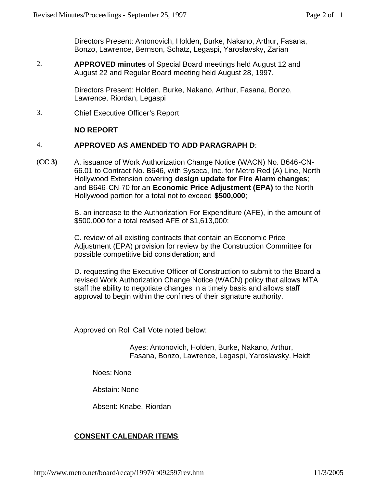Directors Present: Antonovich, Holden, Burke, Nakano, Arthur, Fasana, Bonzo, Lawrence, Bernson, Schatz, Legaspi, Yaroslavsky, Zarian

2. **APPROVED minutes** of Special Board meetings held August 12 and August 22 and Regular Board meeting held August 28, 1997.

> Directors Present: Holden, Burke, Nakano, Arthur, Fasana, Bonzo, Lawrence, Riordan, Legaspi

3. Chief Executive Officer's Report

## **NO REPORT**

#### 4. **APPROVED AS AMENDED TO ADD PARAGRAPH D**:

(**CC 3)** A. issuance of Work Authorization Change Notice (WACN) No. B646-CN-66.01 to Contract No. B646, with Syseca, Inc. for Metro Red (A) Line, North Hollywood Extension covering **design update for Fire Alarm changes**; and B646-CN-70 for an **Economic Price Adjustment (EPA)** to the North Hollywood portion for a total not to exceed **\$500,000**;

> B. an increase to the Authorization For Expenditure (AFE), in the amount of \$500,000 for a total revised AFE of \$1,613,000;

C. review of all existing contracts that contain an Economic Price Adjustment (EPA) provision for review by the Construction Committee for possible competitive bid consideration; and

D. requesting the Executive Officer of Construction to submit to the Board a revised Work Authorization Change Notice (WACN) policy that allows MTA staff the ability to negotiate changes in a timely basis and allows staff approval to begin within the confines of their signature authority.

Approved on Roll Call Vote noted below:

Ayes: Antonovich, Holden, Burke, Nakano, Arthur, Fasana, Bonzo, Lawrence, Legaspi, Yaroslavsky, Heidt

Noes: None

Abstain: None

Absent: Knabe, Riordan

# **CONSENT CALENDAR ITEMS**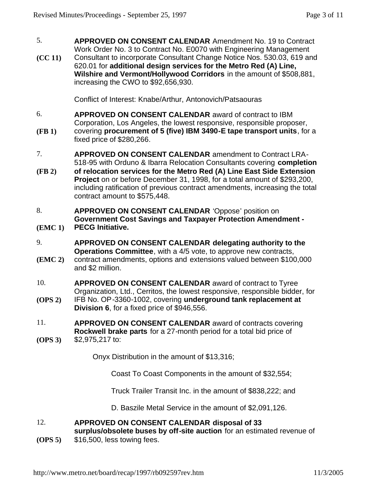- 5. **APPROVED ON CONSENT CALENDAR** Amendment No. 19 to Contract Work Order No. 3 to Contract No. E0070 with Engineering Management
- **(CC 11)** Consultant to incorporate Consultant Change Notice Nos. 530.03, 619 and 620.01 for **additional design services for the Metro Red (A) Line, Wilshire and Vermont/Hollywood Corridors** in the amount of \$508,881, increasing the CWO to \$92,656,930.

Conflict of Interest: Knabe/Arthur, Antonovich/Patsaouras

- 6. **APPROVED ON CONSENT CALENDAR** award of contract to IBM Corporation, Los Angeles, the lowest responsive, responsible proposer,
- **(FB 1)** covering **procurement of 5 (five) IBM 3490-E tape transport units**, for a fixed price of \$280,266.
- 7. **APPROVED ON CONSENT CALENDAR** amendment to Contract LRA-518-95 with Orduno & Ibarra Relocation Consultants covering **completion**
- **(FB 2) of relocation services for the Metro Red (A) Line East Side Extension Project** on or before December 31, 1998, for a total amount of \$293,200, including ratification of previous contract amendments, increasing the total contract amount to \$575,448.
- 8. **APPROVED ON CONSENT CALENDAR** 'Oppose' position on **Government Cost Savings and Taxpayer Protection Amendment -**
- **(EMC 1) PECG Initiative.**
- 9. **APPROVED ON CONSENT CALENDAR delegating authority to the Operations Committee**, with a 4/5 vote, to approve new contracts,
- **(EMC 2)** contract amendments, options and extensions valued between \$100,000 and \$2 million.
- 10. **APPROVED ON CONSENT CALENDAR** award of contract to Tyree Organization, Ltd., Cerritos, the lowest responsive, responsible bidder, for
- **(OPS 2)** IFB No. OP-3360-1002, covering **underground tank replacement at Division 6**, for a fixed price of \$946,556.
- 11. **APPROVED ON CONSENT CALENDAR** award of contracts covering **Rockwell brake parts** for a 27-month period for a total bid price of
- **(OPS 3)** \$2,975,217 to:

Onyx Distribution in the amount of \$13,316;

Coast To Coast Components in the amount of \$32,554;

Truck Trailer Transit Inc. in the amount of \$838,222; and

D. Baszile Metal Service in the amount of \$2,091,126.

### 12. **APPROVED ON CONSENT CALENDAR disposal of 33**

**surplus/obsolete buses by off-site auction** for an estimated revenue of

**(OPS 5)** \$16,500, less towing fees.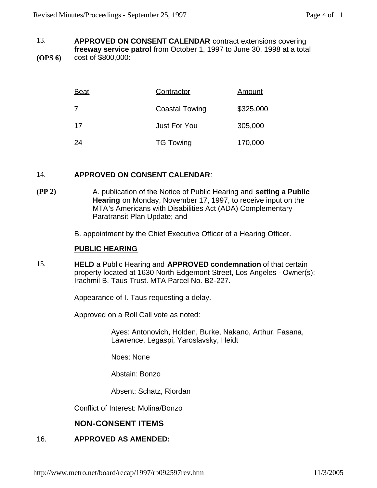13. **(OPS 6) APPROVED ON CONSENT CALENDAR** contract extensions covering **freeway service patrol** from October 1, 1997 to June 30, 1998 at a total cost of \$800,000:

| <b>Beat</b> | Contractor            | <u>Amount</u> |
|-------------|-----------------------|---------------|
| 7           | <b>Coastal Towing</b> | \$325,000     |
| 17          | <b>Just For You</b>   | 305,000       |
| 24          | <b>TG Towing</b>      | 170,000       |

#### 14. **APPROVED ON CONSENT CALENDAR**:

**(PP 2)** A. publication of the Notice of Public Hearing and **setting a Public Hearing** on Monday, November 17, 1997, to receive input on the MTA's Americans with Disabilities Act (ADA) Complementary Paratransit Plan Update; and

B. appointment by the Chief Executive Officer of a Hearing Officer.

## **PUBLIC HEARING**

15. **HELD** a Public Hearing and **APPROVED condemnation** of that certain property located at 1630 North Edgemont Street, Los Angeles - Owner(s): Irachmil B. Taus Trust. MTA Parcel No. B2-227.

Appearance of I. Taus requesting a delay.

Approved on a Roll Call vote as noted:

Ayes: Antonovich, Holden, Burke, Nakano, Arthur, Fasana, Lawrence, Legaspi, Yaroslavsky, Heidt

Noes: None

Abstain: Bonzo

Absent: Schatz, Riordan

Conflict of Interest: Molina/Bonzo

# **NON-CONSENT ITEMS**

## 16. **APPROVED AS AMENDED:**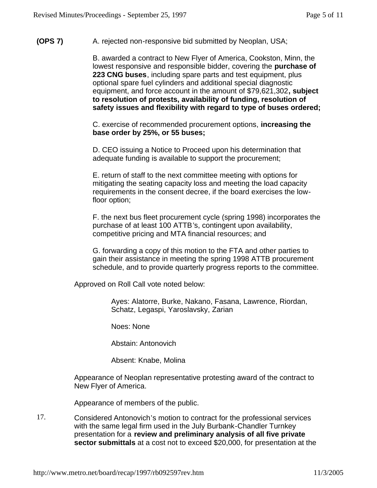## **(OPS 7)** A. rejected non-responsive bid submitted by Neoplan, USA;

B. awarded a contract to New Flyer of America, Cookston, Minn, the lowest responsive and responsible bidder, covering the **purchase of 223 CNG buses**, including spare parts and test equipment, plus optional spare fuel cylinders and additional special diagnostic equipment, and force account in the amount of \$79,621,302**, subject to resolution of protests, availability of funding, resolution of safety issues and flexibility with regard to type of buses ordered;**

C. exercise of recommended procurement options, **increasing the base order by 25%, or 55 buses;** 

D. CEO issuing a Notice to Proceed upon his determination that adequate funding is available to support the procurement;

E. return of staff to the next committee meeting with options for mitigating the seating capacity loss and meeting the load capacity requirements in the consent decree, if the board exercises the lowfloor option;

F. the next bus fleet procurement cycle (spring 1998) incorporates the purchase of at least 100 ATTB's, contingent upon availability, competitive pricing and MTA financial resources; and

G. forwarding a copy of this motion to the FTA and other parties to gain their assistance in meeting the spring 1998 ATTB procurement schedule, and to provide quarterly progress reports to the committee.

Approved on Roll Call vote noted below:

Ayes: Alatorre, Burke, Nakano, Fasana, Lawrence, Riordan, Schatz, Legaspi, Yaroslavsky, Zarian

Noes: None

Abstain: Antonovich

Absent: Knabe, Molina

Appearance of Neoplan representative protesting award of the contract to New Flyer of America.

Appearance of members of the public.

17. Considered Antonovich's motion to contract for the professional services with the same legal firm used in the July Burbank-Chandler Turnkey presentation for a **review and preliminary analysis of all five private sector submittals** at a cost not to exceed \$20,000, for presentation at the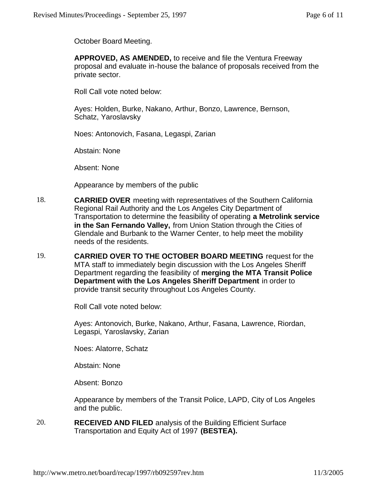October Board Meeting.

**APPROVED, AS AMENDED,** to receive and file the Ventura Freeway proposal and evaluate in-house the balance of proposals received from the private sector.

Roll Call vote noted below:

Ayes: Holden, Burke, Nakano, Arthur, Bonzo, Lawrence, Bernson, Schatz, Yaroslavsky

Noes: Antonovich, Fasana, Legaspi, Zarian

Abstain: None

Absent: None

Appearance by members of the public

- 18. **CARRIED OVER** meeting with representatives of the Southern California Regional Rail Authority and the Los Angeles City Department of Transportation to determine the feasibility of operating **a Metrolink service in the San Fernando Valley,** from Union Station through the Cities of Glendale and Burbank to the Warner Center, to help meet the mobility needs of the residents.
- 19. **CARRIED OVER TO THE OCTOBER BOARD MEETING** request for the MTA staff to immediately begin discussion with the Los Angeles Sheriff Department regarding the feasibility of **merging the MTA Transit Police Department with the Los Angeles Sheriff Department** in order to provide transit security throughout Los Angeles County.

Roll Call vote noted below:

Ayes: Antonovich, Burke, Nakano, Arthur, Fasana, Lawrence, Riordan, Legaspi, Yaroslavsky, Zarian

Noes: Alatorre, Schatz

Abstain: None

Absent: Bonzo

Appearance by members of the Transit Police, LAPD, City of Los Angeles and the public.

20. **RECEIVED AND FILED** analysis of the Building Efficient Surface Transportation and Equity Act of 1997 **(BESTEA).**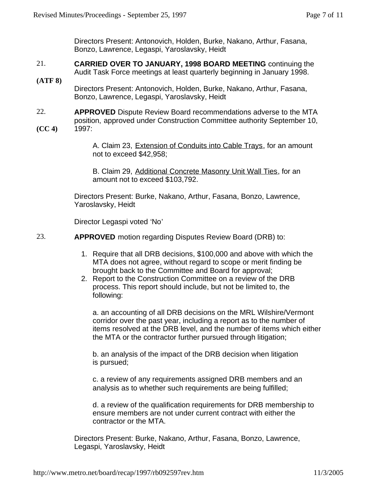Directors Present: Antonovich, Holden, Burke, Nakano, Arthur, Fasana, Bonzo, Lawrence, Legaspi, Yaroslavsky, Heidt

- 21. **CARRIED OVER TO JANUARY, 1998 BOARD MEETING** continuing the Audit Task Force meetings at least quarterly beginning in January 1998.
- **(ATF 8)** Directors Present: Antonovich, Holden, Burke, Nakano, Arthur, Fasana, Bonzo, Lawrence, Legaspi, Yaroslavsky, Heidt
- 22. **(CC 4) APPROVED** Dispute Review Board recommendations adverse to the MTA position, approved under Construction Committee authority September 10, 1997:

A. Claim 23, Extension of Conduits into Cable Trays, for an amount not to exceed \$42,958;

B. Claim 29, Additional Concrete Masonry Unit Wall Ties, for an amount not to exceed \$103,792.

Directors Present: Burke, Nakano, Arthur, Fasana, Bonzo, Lawrence, Yaroslavsky, Heidt

Director Legaspi voted 'No'

23. **APPROVED** motion regarding Disputes Review Board (DRB) to:

- 1. Require that all DRB decisions, \$100,000 and above with which the MTA does not agree, without regard to scope or merit finding be brought back to the Committee and Board for approval;
- 2. Report to the Construction Committee on a review of the DRB process. This report should include, but not be limited to, the following:

a. an accounting of all DRB decisions on the MRL Wilshire/Vermont corridor over the past year, including a report as to the number of items resolved at the DRB level, and the number of items which either the MTA or the contractor further pursued through litigation;

b. an analysis of the impact of the DRB decision when litigation is pursued;

c. a review of any requirements assigned DRB members and an analysis as to whether such requirements are being fulfilled;

d. a review of the qualification requirements for DRB membership to ensure members are not under current contract with either the contractor or the MTA.

Directors Present: Burke, Nakano, Arthur, Fasana, Bonzo, Lawrence, Legaspi, Yaroslavsky, Heidt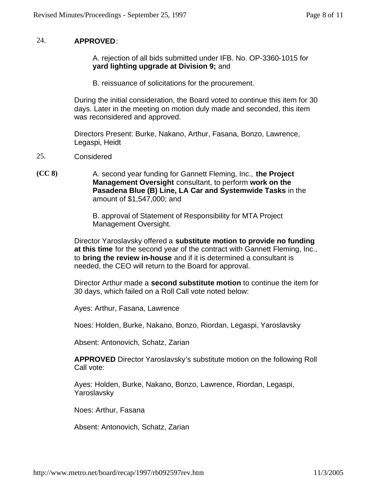## 24. **APPROVED**:

A. rejection of all bids submitted under IFB. No. OP-3360-1015 for **yard lighting upgrade at Division 9;** and

B. reissuance of solicitations for the procurement.

During the initial consideration, the Board voted to continue this item for 30 days. Later in the meeting on motion duly made and seconded, this item was reconsidered and approved.

Directors Present: Burke, Nakano, Arthur, Fasana, Bonzo, Lawrence, Legaspi, Heidt

- 25. Considered
- **(CC 8)** A. second year funding for Gannett Fleming, Inc., **the Project Management Oversight** consultant, to perform **work on the Pasadena Blue (B) Line, LA Car and Systemwide Tasks** in the amount of \$1,547,000; and

B. approval of Statement of Responsibility for MTA Project Management Oversight.

Director Yaroslavsky offered a **substitute motion to provide no funding at this time** for the second year of the contract with Gannett Fleming, Inc., to **bring the review in-house** and if it is determined a consultant is needed, the CEO will return to the Board for approval.

Director Arthur made a **second substitute motion** to continue the item for 30 days, which failed on a Roll Call vote noted below:

Ayes: Arthur, Fasana, Lawrence

Noes: Holden, Burke, Nakano, Bonzo, Riordan, Legaspi, Yaroslavsky

Absent: Antonovich, Schatz, Zarian

**APPROVED** Director Yaroslavsky's substitute motion on the following Roll Call vote:

Ayes: Holden, Burke, Nakano, Bonzo, Lawrence, Riordan, Legaspi, Yaroslavsky

Noes: Arthur, Fasana

Absent: Antonovich, Schatz, Zarian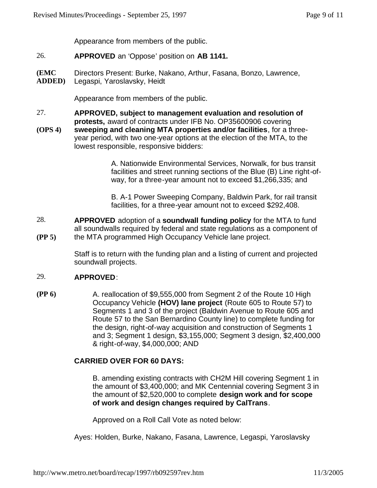Appearance from members of the public.

- 26. **APPROVED** an 'Oppose' position on **AB 1141.**
- **(EMC ADDED)** Directors Present: Burke, Nakano, Arthur, Fasana, Bonzo, Lawrence, Legaspi, Yaroslavsky, Heidt

Appearance from members of the public.

- 27. **APPROVED, subject to management evaluation and resolution of protests,** award of contracts under IFB No. OP35600906 covering
- **(OPS 4) sweeping and cleaning MTA properties and/or facilities**, for a threeyear period, with two one-year options at the election of the MTA, to the lowest responsible, responsive bidders:

A. Nationwide Environmental Services, Norwalk, for bus transit facilities and street running sections of the Blue (B) Line right-ofway, for a three-year amount not to exceed \$1,266,335; and

B. A-1 Power Sweeping Company, Baldwin Park, for rail transit facilities, for a three-year amount not to exceed \$292,408.

28. **(PP 5) APPROVED** adoption of a **soundwall funding policy** for the MTA to fund all soundwalls required by federal and state regulations as a component of the MTA programmed High Occupancy Vehicle lane project.

> Staff is to return with the funding plan and a listing of current and projected soundwall projects.

#### 29. **APPROVED**:

**(PP 6)** A. reallocation of \$9,555,000 from Segment 2 of the Route 10 High Occupancy Vehicle **(HOV) lane project** (Route 605 to Route 57) to Segments 1 and 3 of the project (Baldwin Avenue to Route 605 and Route 57 to the San Bernardino County line) to complete funding for the design, right-of-way acquisition and construction of Segments 1 and 3; Segment 1 design, \$3,155,000; Segment 3 design, \$2,400,000 & right-of-way, \$4,000,000; AND

# **CARRIED OVER FOR 60 DAYS:**

B. amending existing contracts with CH2M Hill covering Segment 1 in the amount of \$3,400,000; and MK Centennial covering Segment 3 in the amount of \$2,520,000 to complete **design work and for scope of work and design changes required by CalTrans**.

Approved on a Roll Call Vote as noted below:

Ayes: Holden, Burke, Nakano, Fasana, Lawrence, Legaspi, Yaroslavsky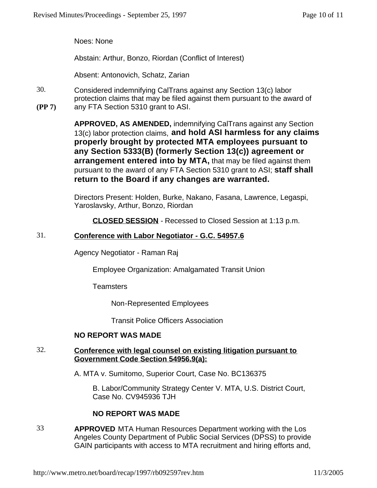Noes: None

Abstain: Arthur, Bonzo, Riordan (Conflict of Interest)

Absent: Antonovich, Schatz, Zarian

30. **(PP 7)** Considered indemnifying CalTrans against any Section 13(c) labor protection claims that may be filed against them pursuant to the award of any FTA Section 5310 grant to ASI.

> **APPROVED, AS AMENDED,** indemnifying CalTrans against any Section 13(c) labor protection claims, **and hold ASI harmless for any claims properly brought by protected MTA employees pursuant to any Section 5333(B) (formerly Section 13(c)) agreement or arrangement entered into by MTA,** that may be filed against them pursuant to the award of any FTA Section 5310 grant to ASI; **staff shall return to the Board if any changes are warranted.**

Directors Present: Holden, Burke, Nakano, Fasana, Lawrence, Legaspi, Yaroslavsky, Arthur, Bonzo, Riordan

**CLOSED SESSION** - Recessed to Closed Session at 1:13 p.m.

## 31. **Conference with Labor Negotiator - G.C. 54957.6**

Agency Negotiator - Raman Raj

Employee Organization: Amalgamated Transit Union

**Teamsters** 

Non-Represented Employees

Transit Police Officers Association

## **NO REPORT WAS MADE**

# 32. **Conference with legal counsel on existing litigation pursuant to Government Code Section 54956.9(a):**

A. MTA v. Sumitomo, Superior Court, Case No. BC136375

B. Labor/Community Strategy Center V. MTA, U.S. District Court, Case No. CV945936 TJH

# **NO REPORT WAS MADE**

33 **APPROVED** MTA Human Resources Department working with the Los Angeles County Department of Public Social Services (DPSS) to provide GAIN participants with access to MTA recruitment and hiring efforts and,